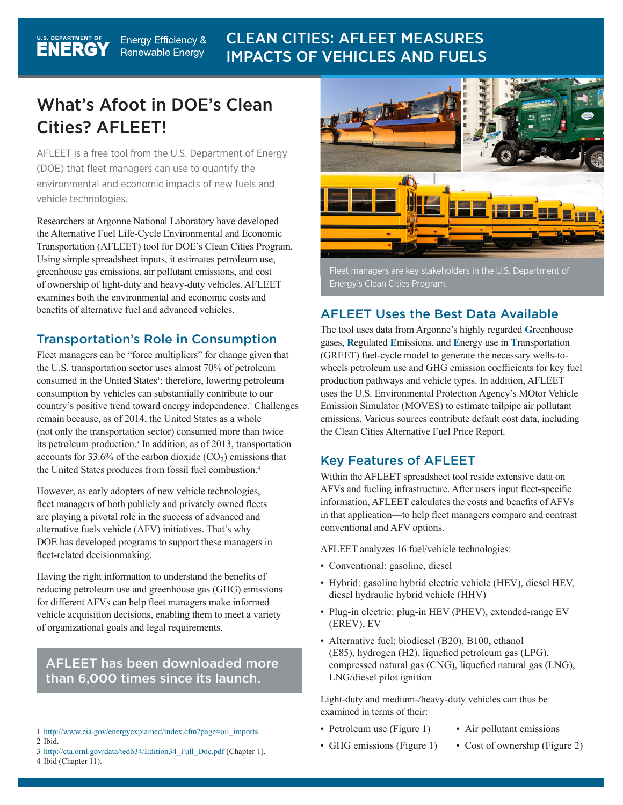#### **U.S. DEPARTMENT OF** CLEAN CITIES: AFLEET MEASURES **Energy Efficiency &** Renewable Energy IMPACTS OF VEHICLES AND FUELS

## What's Afoot in DOE's Clean Cities? AFLEET!

AFLEET is a free tool from the U.S. Department of Energy (DOE) that fleet managers can use to quantify the environmental and economic impacts of new fuels and vehicle technologies.

Researchers at Argonne National Laboratory have developed the Alternative Fuel Life-Cycle Environmental and Economic Transportation (AFLEET) tool for DOE's Clean Cities Program. Using simple spreadsheet inputs, it estimates petroleum use, greenhouse gas emissions, air pollutant emissions, and cost of ownership of light-duty and heavy-duty vehicles. AFLEET examines both the environmental and economic costs and benefits of alternative fuel and advanced vehicles.

#### Transportation's Role in Consumption

Fleet managers can be "force multipliers" for change given that the U.S. transportation sector uses almost 70% of petroleum consumed in the United States<sup>1</sup>; therefore, lowering petroleum consumption by vehicles can substantially contribute to our country's positive trend toward energy independence.2 Challenges remain because, as of 2014, the United States as a whole (not only the transportation sector) consumed more than twice its petroleum production.<sup>3</sup> In addition, as of 2013, transportation accounts for 33.6% of the carbon dioxide  $(CO<sub>2</sub>)$  emissions that the United States produces from fossil fuel combustion.4

However, as early adopters of new vehicle technologies, fleet managers of both publicly and privately owned fleets are playing a pivotal role in the success of advanced and alternative fuels vehicle (AFV) initiatives. That's why DOE has developed programs to support these managers in fleet-related decisionmaking.

Having the right information to understand the benefits of reducing petroleum use and greenhouse gas (GHG) emissions for different AFVs can help fleet managers make informed vehicle acquisition decisions, enabling them to meet a variety of organizational goals and legal requirements.

#### AFLEET has been downloaded more than 6,000 times since its launch.

3 http://cta.ornl.gov/data/tedb34/Edition34\_Full\_Doc.pdf (Chapter 1). 4 Ibid (Chapter 11).



Fleet managers are key stakeholders in the U.S. Department of Energy's Clean Cities Program.

#### AFLEET Uses the Best Data Available

The tool uses data from Argonne's highly regarded **G**reenhouse gases, **R**egulated **E**missions, and **E**nergy use in **T**ransportation (GREET) fuel-cycle model to generate the necessary wells-towheels petroleum use and GHG emission coefficients for key fuel production pathways and vehicle types. In addition, AFLEET uses the U.S. Environmental Protection Agency's MOtor Vehicle Emission Simulator (MOVES) to estimate tailpipe air pollutant emissions. Various sources contribute default cost data, including the Clean Cities Alternative Fuel Price Report.

#### Key Features of AFLEET

Within the AFLEET spreadsheet tool reside extensive data on AFVs and fueling infrastructure. After users input fleet-specific information, AFLEET calculates the costs and benefits of AFVs in that application—to help fleet managers compare and contrast conventional and AFV options.

AFLEET analyzes 16 fuel/vehicle technologies:

- Conventional: gasoline, diesel
- Hybrid: gasoline hybrid electric vehicle (HEV), diesel HEV, diesel hydraulic hybrid vehicle (HHV)
- Plug-in electric: plug-in HEV (PHEV), extended-range EV (EREV), EV
- Alternative fuel: biodiesel (B20), B100, ethanol (E85), hydrogen (H2), liquefied petroleum gas (LPG), compressed natural gas (CNG), liquefied natural gas (LNG), LNG/diesel pilot ignition

Light-duty and medium-/heavy-duty vehicles can thus be examined in terms of their:

- Petroleum use (Figure 1)
- Air pollutant emissions
- GHG emissions (Figure 1)
- Cost of ownership (Figure 2)

<sup>1</sup> http://www.eia.gov/energyexplained/index.cfm?page=oil\_imports. 2 Ibid.